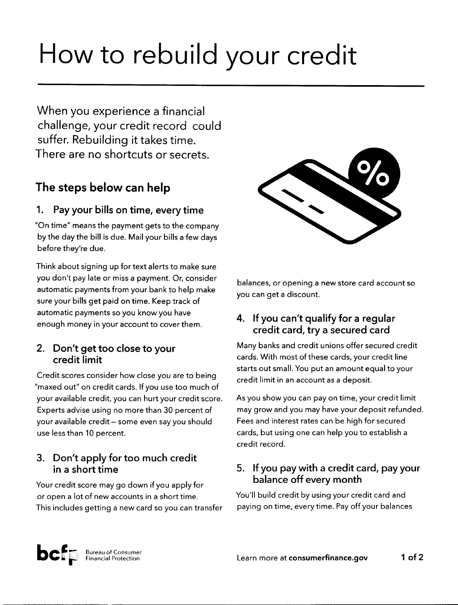# How to rebuild your credit

When you experience a financial challenge, your credit record could suffer. Rebuilding it takes time. There are no shortcuts or secrets.

# The steps below can help

#### 1. Pay your bills on time, every time

"On time" means the payment gets to the company by the day the bill is due. Mail your bills afew days before they're due.

Think about signing up for text alerts to make sure you don't pay late or missa payment. Or, consider automatic payments from your bank to help make sure your bills get paid on time. Keep track of automatic payments soyou know you have enough money in your account to cover them.

#### 2. Don't get too close to your credit limit

Credit scores consider how close you are to being "maxed out" on credit cards. If you use too much of your available credit, you can hurt your credit score. Experts advise using no more than 30 percent of your available credit - some even say you should use less than 10 percent.

## 3. Don't apply for too much credit in a short time

Your credit score maygo down if you apply for or open a lot of new accounts in ashort time. This includes getting a new card so you can transfer



balances, or opening a new store card account so you can get a discount.

#### 4. Ifyou can't qualify for a regular credit card, try a secured card

Manybanks and credit unions offer secured credit cards. With most of these cards, your credit line starts out small. You put an amount equal to your credit limit in an account as a deposit.

As you showyou can pay on time, your credit limit may grow and you may have your deposit refunded. Fees and interest rates can be high for secured cards, but using one can helpyou to establish a credit record.

#### 5. If you pay with a credit card, pay your balance off every month

You'll build credit by using your credit card and paying on time, every time. Pay off your balances